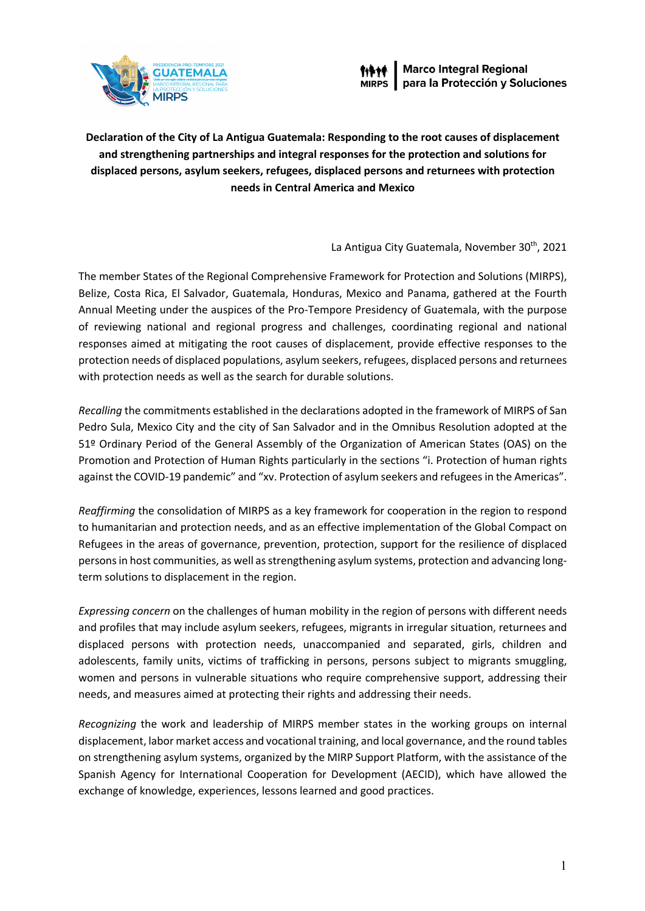

**Declaration of the City of La Antigua Guatemala: Responding to the root causes of displacement and strengthening partnerships and integral responses for the protection and solutions for displaced persons, asylum seekers, refugees, displaced persons and returnees with protection needs in Central America and Mexico**

La Antigua City Guatemala, November 30<sup>th</sup>, 2021

The member States of the Regional Comprehensive Framework for Protection and Solutions (MIRPS), Belize, Costa Rica, El Salvador, Guatemala, Honduras, Mexico and Panama, gathered at the Fourth Annual Meeting under the auspices of the Pro-Tempore Presidency of Guatemala, with the purpose of reviewing national and regional progress and challenges, coordinating regional and national responses aimed at mitigating the root causes of displacement, provide effective responses to the protection needs of displaced populations, asylum seekers, refugees, displaced persons and returnees with protection needs as well as the search for durable solutions.

*Recalling* the commitments established in the declarations adopted in the framework of MIRPS of San Pedro Sula, Mexico City and the city of San Salvador and in the Omnibus Resolution adopted at the 51º Ordinary Period of the General Assembly of the Organization of American States (OAS) on the Promotion and Protection of Human Rights particularly in the sections "i. Protection of human rights against the COVID-19 pandemic" and "xv. Protection of asylum seekers and refugees in the Americas".

*Reaffirming* the consolidation of MIRPS as a key framework for cooperation in the region to respond to humanitarian and protection needs, and as an effective implementation of the Global Compact on Refugees in the areas of governance, prevention, protection, support for the resilience of displaced personsin host communities, as well asstrengthening asylum systems, protection and advancing longterm solutions to displacement in the region.

*Expressing concern* on the challenges of human mobility in the region of persons with different needs and profiles that may include asylum seekers, refugees, migrants in irregular situation, returnees and displaced persons with protection needs, unaccompanied and separated, girls, children and adolescents, family units, victims of trafficking in persons, persons subject to migrants smuggling, women and persons in vulnerable situations who require comprehensive support, addressing their needs, and measures aimed at protecting their rights and addressing their needs.

*Recognizing* the work and leadership of MIRPS member states in the working groups on internal displacement, labor market access and vocational training, and local governance, and the round tables on strengthening asylum systems, organized by the MIRP Support Platform, with the assistance of the Spanish Agency for International Cooperation for Development (AECID), which have allowed the exchange of knowledge, experiences, lessons learned and good practices.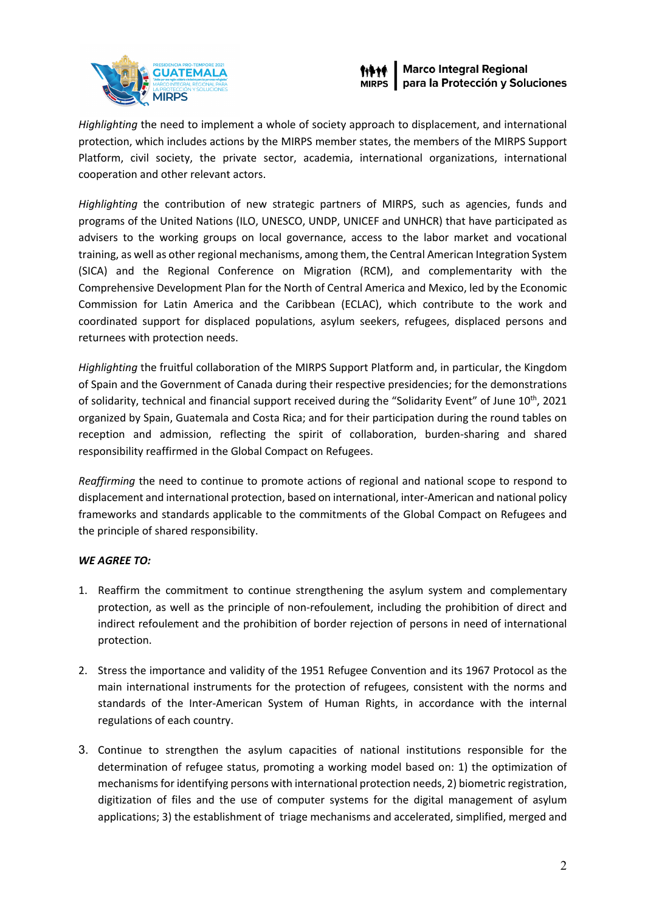



*Highlighting* the need to implement a whole of society approach to displacement, and international protection, which includes actions by the MIRPS member states, the members of the MIRPS Support Platform, civil society, the private sector, academia, international organizations, international cooperation and other relevant actors.

*Highlighting* the contribution of new strategic partners of MIRPS, such as agencies, funds and programs of the United Nations (ILO, UNESCO, UNDP, UNICEF and UNHCR) that have participated as advisers to the working groups on local governance, access to the labor market and vocational training, as well as other regional mechanisms, among them, the Central American Integration System (SICA) and the Regional Conference on Migration (RCM), and complementarity with the Comprehensive Development Plan for the North of Central America and Mexico, led by the Economic Commission for Latin America and the Caribbean (ECLAC), which contribute to the work and coordinated support for displaced populations, asylum seekers, refugees, displaced persons and returnees with protection needs.

*Highlighting* the fruitful collaboration of the MIRPS Support Platform and, in particular, the Kingdom of Spain and the Government of Canada during their respective presidencies; for the demonstrations of solidarity, technical and financial support received during the "Solidarity Event" of June 10th, 2021 organized by Spain, Guatemala and Costa Rica; and for their participation during the round tables on reception and admission, reflecting the spirit of collaboration, burden-sharing and shared responsibility reaffirmed in the Global Compact on Refugees.

*Reaffirming* the need to continue to promote actions of regional and national scope to respond to displacement and international protection, based on international, inter-American and national policy frameworks and standards applicable to the commitments of the Global Compact on Refugees and the principle of shared responsibility.

## *WE AGREE TO:*

- 1. Reaffirm the commitment to continue strengthening the asylum system and complementary protection, as well as the principle of non-refoulement, including the prohibition of direct and indirect refoulement and the prohibition of border rejection of persons in need of international protection.
- 2. Stress the importance and validity of the 1951 Refugee Convention and its 1967 Protocol as the main international instruments for the protection of refugees, consistent with the norms and standards of the Inter-American System of Human Rights, in accordance with the internal regulations of each country.
- 3. Continue to strengthen the asylum capacities of national institutions responsible for the determination of refugee status, promoting a working model based on: 1) the optimization of mechanismsfor identifying persons with international protection needs, 2) biometric registration, digitization of files and the use of computer systems for the digital management of asylum applications; 3) the establishment of triage mechanisms and accelerated, simplified, merged and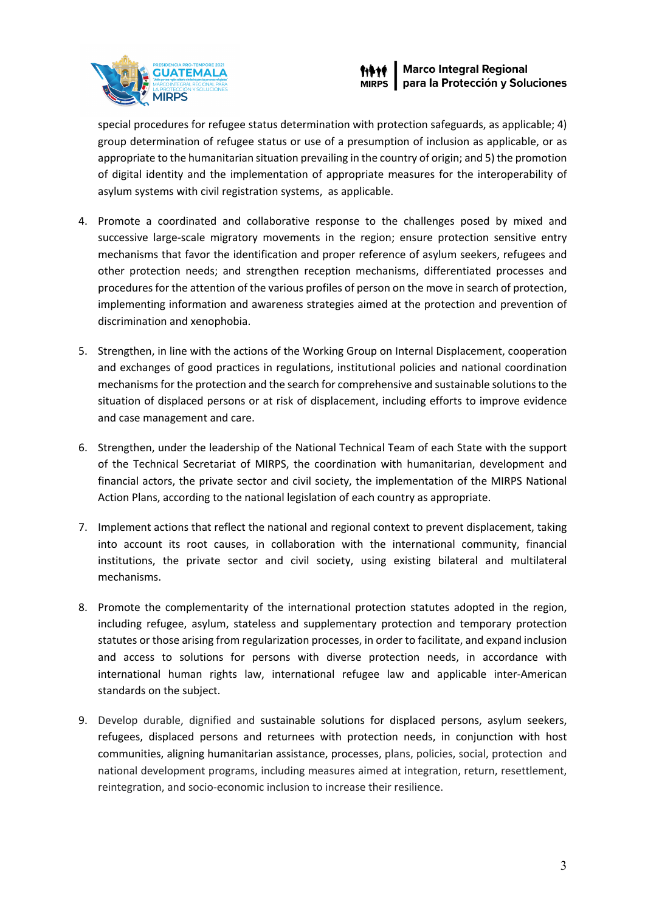



special procedures for refugee status determination with protection safeguards, as applicable; 4) group determination of refugee status or use of a presumption of inclusion as applicable, or as appropriate to the humanitarian situation prevailing in the country of origin; and 5) the promotion of digital identity and the implementation of appropriate measures for the interoperability of asylum systems with civil registration systems, as applicable.

- 4. Promote a coordinated and collaborative response to the challenges posed by mixed and successive large-scale migratory movements in the region; ensure protection sensitive entry mechanisms that favor the identification and proper reference of asylum seekers, refugees and other protection needs; and strengthen reception mechanisms, differentiated processes and procedures for the attention of the various profiles of person on the move in search of protection, implementing information and awareness strategies aimed at the protection and prevention of discrimination and xenophobia.
- 5. Strengthen, in line with the actions of the Working Group on Internal Displacement, cooperation and exchanges of good practices in regulations, institutional policies and national coordination mechanismsfor the protection and the search for comprehensive and sustainable solutionsto the situation of displaced persons or at risk of displacement, including efforts to improve evidence and case management and care.
- 6. Strengthen, under the leadership of the National Technical Team of each State with the support of the Technical Secretariat of MIRPS, the coordination with humanitarian, development and financial actors, the private sector and civil society, the implementation of the MIRPS National Action Plans, according to the national legislation of each country as appropriate.
- 7. Implement actions that reflect the national and regional context to prevent displacement, taking into account its root causes, in collaboration with the international community, financial institutions, the private sector and civil society, using existing bilateral and multilateral mechanisms.
- 8. Promote the complementarity of the international protection statutes adopted in the region, including refugee, asylum, stateless and supplementary protection and temporary protection statutes or those arising from regularization processes, in order to facilitate, and expand inclusion and access to solutions for persons with diverse protection needs, in accordance with international human rights law, international refugee law and applicable inter-American standards on the subject.
- 9. Develop durable, dignified and sustainable solutions for displaced persons, asylum seekers, refugees, displaced persons and returnees with protection needs, in conjunction with host communities, aligning humanitarian assistance, processes, plans, policies, social, protection and national development programs, including measures aimed at integration, return, resettlement, reintegration, and socio-economic inclusion to increase their resilience.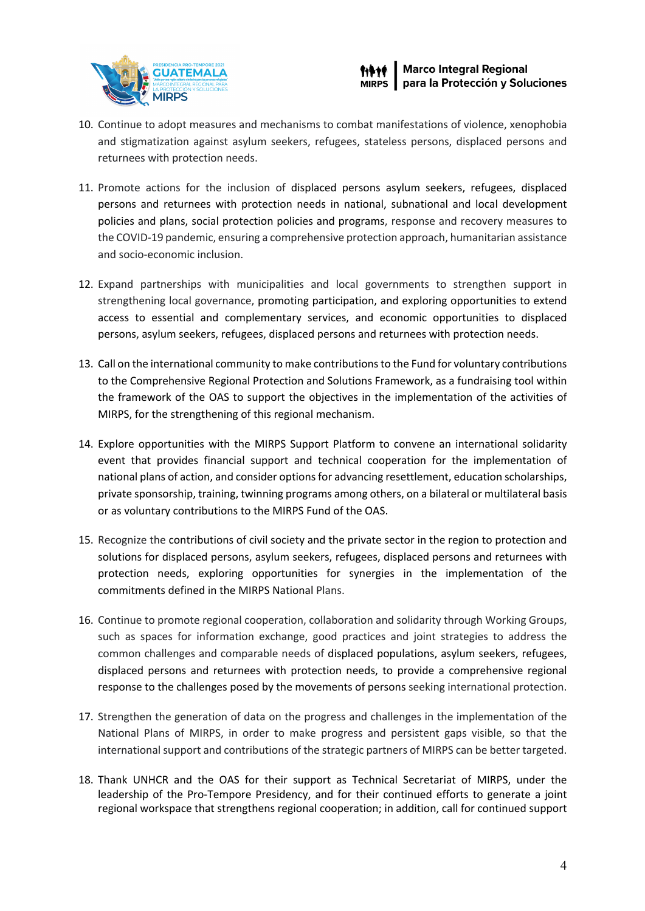



- 10. Continue to adopt measures and mechanisms to combat manifestations of violence, xenophobia and stigmatization against asylum seekers, refugees, stateless persons, displaced persons and returnees with protection needs.
- 11. Promote actions for the inclusion of displaced persons asylum seekers, refugees, displaced persons and returnees with protection needs in national, subnational and local development policies and plans, social protection policies and programs, response and recovery measures to the COVID-19 pandemic, ensuring a comprehensive protection approach, humanitarian assistance and socio-economic inclusion.
- 12. Expand partnerships with municipalities and local governments to strengthen support in strengthening local governance, promoting participation, and exploring opportunities to extend access to essential and complementary services, and economic opportunities to displaced persons, asylum seekers, refugees, displaced persons and returnees with protection needs.
- 13. Call on the international community to make contributionsto the Fund for voluntary contributions to the Comprehensive Regional Protection and Solutions Framework, as a fundraising tool within the framework of the OAS to support the objectives in the implementation of the activities of MIRPS, for the strengthening of this regional mechanism.
- 14. Explore opportunities with the MIRPS Support Platform to convene an international solidarity event that provides financial support and technical cooperation for the implementation of national plans of action, and consider options for advancing resettlement, education scholarships, private sponsorship, training, twinning programs among others, on a bilateral or multilateral basis or as voluntary contributions to the MIRPS Fund of the OAS.
- 15. Recognize the contributions of civil society and the private sector in the region to protection and solutions for displaced persons, asylum seekers, refugees, displaced persons and returnees with protection needs, exploring opportunities for synergies in the implementation of the commitments defined in the MIRPS National Plans.
- 16. Continue to promote regional cooperation, collaboration and solidarity through Working Groups, such as spaces for information exchange, good practices and joint strategies to address the common challenges and comparable needs of displaced populations, asylum seekers, refugees, displaced persons and returnees with protection needs, to provide a comprehensive regional response to the challenges posed by the movements of persons seeking international protection.
- 17. Strengthen the generation of data on the progress and challenges in the implementation of the National Plans of MIRPS, in order to make progress and persistent gaps visible, so that the international support and contributions of the strategic partners of MIRPS can be better targeted.
- 18. Thank UNHCR and the OAS for their support as Technical Secretariat of MIRPS, under the leadership of the Pro-Tempore Presidency, and for their continued efforts to generate a joint regional workspace that strengthens regional cooperation; in addition, call for continued support